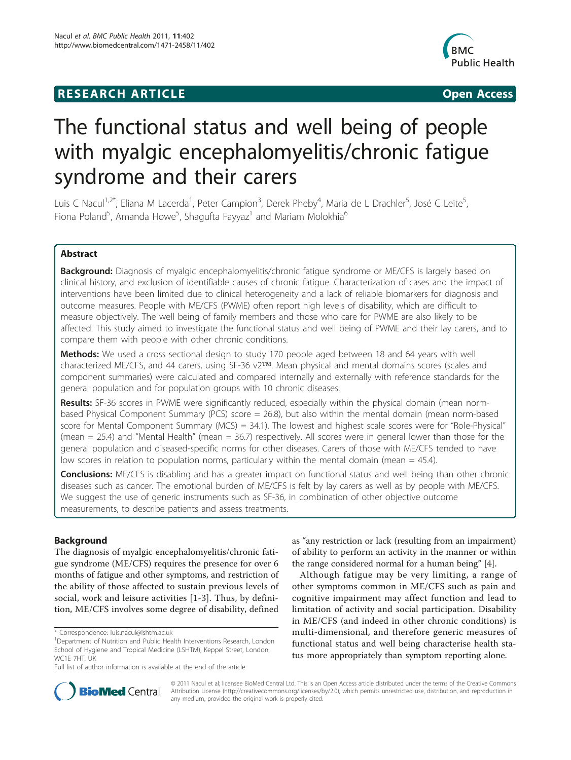## **RESEARCH ARTICLE Example 2018 CONSIDERING ACCESS**



# The functional status and well being of people with myalgic encephalomyelitis/chronic fatigue syndrome and their carers

Luis C Nacul<sup>1,2\*</sup>, Eliana M Lacerda<sup>1</sup>, Peter Campion<sup>3</sup>, Derek Pheby<sup>4</sup>, Maria de L Drachler<sup>5</sup>, José C Leite<sup>5</sup> , Fiona Poland<sup>5</sup>, Amanda Howe<sup>5</sup>, Shagufta Fayyaz<sup>1</sup> and Mariam Molokhia<sup>6</sup>

## Abstract

**Background:** Diagnosis of myalgic encephalomyelitis/chronic fatigue syndrome or ME/CFS is largely based on clinical history, and exclusion of identifiable causes of chronic fatigue. Characterization of cases and the impact of interventions have been limited due to clinical heterogeneity and a lack of reliable biomarkers for diagnosis and outcome measures. People with ME/CFS (PWME) often report high levels of disability, which are difficult to measure objectively. The well being of family members and those who care for PWME are also likely to be affected. This study aimed to investigate the functional status and well being of PWME and their lay carers, and to compare them with people with other chronic conditions.

Methods: We used a cross sectional design to study 170 people aged between 18 and 64 years with well characterized ME/CFS, and 44 carers, using SF-36 v2™. Mean physical and mental domains scores (scales and component summaries) were calculated and compared internally and externally with reference standards for the general population and for population groups with 10 chronic diseases.

Results: SF-36 scores in PWME were significantly reduced, especially within the physical domain (mean normbased Physical Component Summary (PCS) score = 26.8), but also within the mental domain (mean norm-based score for Mental Component Summary ( $MCS$ ) = 34.1). The lowest and highest scale scores were for "Role-Physical" (mean = 25.4) and "Mental Health" (mean = 36.7) respectively. All scores were in general lower than those for the general population and diseased-specific norms for other diseases. Carers of those with ME/CFS tended to have low scores in relation to population norms, particularly within the mental domain (mean = 45.4).

Conclusions: ME/CFS is disabling and has a greater impact on functional status and well being than other chronic diseases such as cancer. The emotional burden of ME/CFS is felt by lay carers as well as by people with ME/CFS. We suggest the use of generic instruments such as SF-36, in combination of other objective outcome measurements, to describe patients and assess treatments.

## Background

The diagnosis of myalgic encephalomyelitis/chronic fatigue syndrome (ME/CFS) requires the presence for over 6 months of fatigue and other symptoms, and restriction of the ability of those affected to sustain previous levels of social, work and leisure activities [\[1-3](#page-9-0)]. Thus, by definition, ME/CFS involves some degree of disability, defined

as "any restriction or lack (resulting from an impairment) of ability to perform an activity in the manner or within the range considered normal for a human being" [\[4](#page-9-0)].

Although fatigue may be very limiting, a range of other symptoms common in ME/CFS such as pain and cognitive impairment may affect function and lead to limitation of activity and social participation. Disability in ME/CFS (and indeed in other chronic conditions) is multi-dimensional, and therefore generic measures of functional status and well being characterise health status more appropriately than symptom reporting alone.



© 2011 Nacul et al; licensee BioMed Central Ltd. This is an Open Access article distributed under the terms of the Creative Commons Attribution License [\(http://creativecommons.org/licenses/by/2.0](http://creativecommons.org/licenses/by/2.0)), which permits unrestricted use, distribution, and reproduction in any medium, provided the original work is properly cited.

<sup>\*</sup> Correspondence: [luis.nacul@lshtm.ac.uk](mailto:luis.nacul@lshtm.ac.uk)

<sup>&</sup>lt;sup>1</sup>Department of Nutrition and Public Health Interventions Research, London School of Hygiene and Tropical Medicine (LSHTM), Keppel Street, London, WC1E 7HT, UK

Full list of author information is available at the end of the article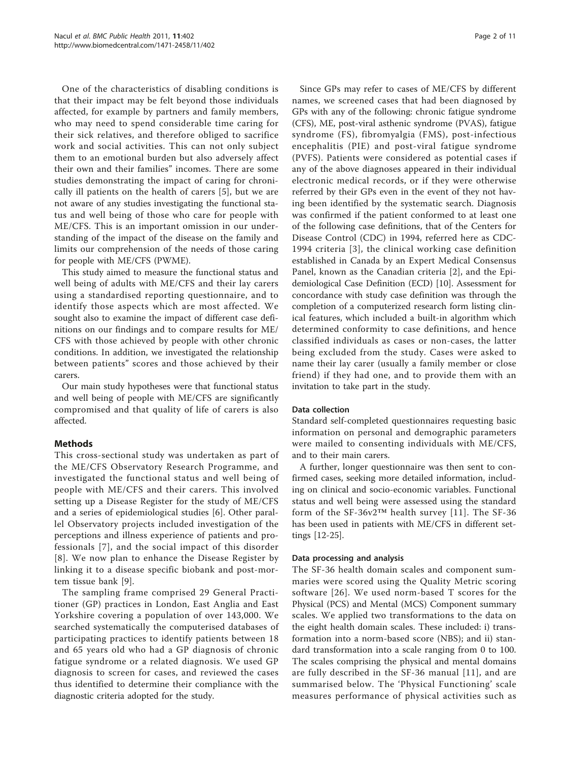One of the characteristics of disabling conditions is that their impact may be felt beyond those individuals affected, for example by partners and family members, who may need to spend considerable time caring for their sick relatives, and therefore obliged to sacrifice work and social activities. This can not only subject them to an emotional burden but also adversely affect their own and their families" incomes. There are some studies demonstrating the impact of caring for chronically ill patients on the health of carers [\[5](#page-10-0)], but we are not aware of any studies investigating the functional status and well being of those who care for people with ME/CFS. This is an important omission in our understanding of the impact of the disease on the family and limits our comprehension of the needs of those caring for people with ME/CFS (PWME).

This study aimed to measure the functional status and well being of adults with ME/CFS and their lay carers using a standardised reporting questionnaire, and to identify those aspects which are most affected. We sought also to examine the impact of different case definitions on our findings and to compare results for ME/ CFS with those achieved by people with other chronic conditions. In addition, we investigated the relationship between patients" scores and those achieved by their carers.

Our main study hypotheses were that functional status and well being of people with ME/CFS are significantly compromised and that quality of life of carers is also affected.

## Methods

This cross-sectional study was undertaken as part of the ME/CFS Observatory Research Programme, and investigated the functional status and well being of people with ME/CFS and their carers. This involved setting up a Disease Register for the study of ME/CFS and a series of epidemiological studies [[6\]](#page-10-0). Other parallel Observatory projects included investigation of the perceptions and illness experience of patients and professionals [\[7\]](#page-10-0), and the social impact of this disorder [[8](#page-10-0)]. We now plan to enhance the Disease Register by linking it to a disease specific biobank and post-mortem tissue bank [[9\]](#page-10-0).

The sampling frame comprised 29 General Practitioner (GP) practices in London, East Anglia and East Yorkshire covering a population of over 143,000. We searched systematically the computerised databases of participating practices to identify patients between 18 and 65 years old who had a GP diagnosis of chronic fatigue syndrome or a related diagnosis. We used GP diagnosis to screen for cases, and reviewed the cases thus identified to determine their compliance with the diagnostic criteria adopted for the study.

Since GPs may refer to cases of ME/CFS by different names, we screened cases that had been diagnosed by GPs with any of the following: chronic fatigue syndrome (CFS), ME, post-viral asthenic syndrome (PVAS), fatigue syndrome (FS), fibromyalgia (FMS), post-infectious encephalitis (PIE) and post-viral fatigue syndrome (PVFS). Patients were considered as potential cases if any of the above diagnoses appeared in their individual electronic medical records, or if they were otherwise referred by their GPs even in the event of they not having been identified by the systematic search. Diagnosis was confirmed if the patient conformed to at least one of the following case definitions, that of the Centers for Disease Control (CDC) in 1994, referred here as CDC-1994 criteria [[3](#page-9-0)], the clinical working case definition established in Canada by an Expert Medical Consensus Panel, known as the Canadian criteria [\[2](#page-9-0)], and the Epidemiological Case Definition (ECD) [\[10\]](#page-10-0). Assessment for concordance with study case definition was through the completion of a computerized research form listing clinical features, which included a built-in algorithm which determined conformity to case definitions, and hence classified individuals as cases or non-cases, the latter being excluded from the study. Cases were asked to name their lay carer (usually a family member or close friend) if they had one, and to provide them with an invitation to take part in the study.

## Data collection

Standard self-completed questionnaires requesting basic information on personal and demographic parameters were mailed to consenting individuals with ME/CFS, and to their main carers.

A further, longer questionnaire was then sent to confirmed cases, seeking more detailed information, including on clinical and socio-economic variables. Functional status and well being were assessed using the standard form of the SF-36v2™ health survey [[11\]](#page-10-0). The SF-36 has been used in patients with ME/CFS in different settings [[12](#page-10-0)-[25\]](#page-10-0).

## Data processing and analysis

The SF-36 health domain scales and component summaries were scored using the Quality Metric scoring software [[26](#page-10-0)]. We used norm-based T scores for the Physical (PCS) and Mental (MCS) Component summary scales. We applied two transformations to the data on the eight health domain scales. These included: i) transformation into a norm-based score (NBS); and ii) standard transformation into a scale ranging from 0 to 100. The scales comprising the physical and mental domains are fully described in the SF-36 manual [[11\]](#page-10-0), and are summarised below. The 'Physical Functioning' scale measures performance of physical activities such as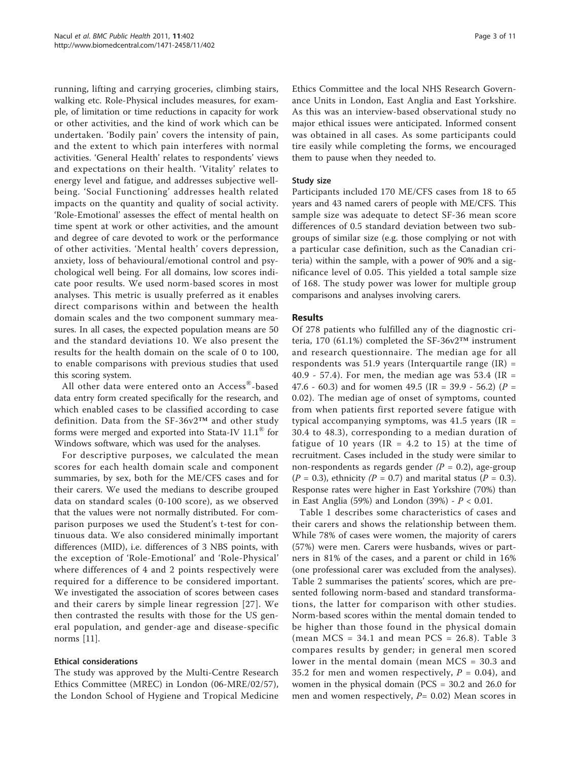running, lifting and carrying groceries, climbing stairs, walking etc. Role-Physical includes measures, for example, of limitation or time reductions in capacity for work or other activities, and the kind of work which can be undertaken. 'Bodily pain' covers the intensity of pain, and the extent to which pain interferes with normal activities. 'General Health' relates to respondents' views and expectations on their health. 'Vitality' relates to energy level and fatigue, and addresses subjective wellbeing. 'Social Functioning' addresses health related impacts on the quantity and quality of social activity. 'Role-Emotional' assesses the effect of mental health on time spent at work or other activities, and the amount and degree of care devoted to work or the performance of other activities. 'Mental health' covers depression, anxiety, loss of behavioural/emotional control and psychological well being. For all domains, low scores indicate poor results. We used norm-based scores in most analyses. This metric is usually preferred as it enables direct comparisons within and between the health domain scales and the two component summary measures. In all cases, the expected population means are 50 and the standard deviations 10. We also present the results for the health domain on the scale of 0 to 100, to enable comparisons with previous studies that used this scoring system.

All other data were entered onto an Access®-based data entry form created specifically for the research, and which enabled cases to be classified according to case definition. Data from the SF-36v2™ and other study forms were merged and exported into Stata-IV 11.1® for Windows software, which was used for the analyses.

For descriptive purposes, we calculated the mean scores for each health domain scale and component summaries, by sex, both for the ME/CFS cases and for their carers. We used the medians to describe grouped data on standard scales (0-100 score), as we observed that the values were not normally distributed. For comparison purposes we used the Student's t-test for continuous data. We also considered minimally important differences (MID), i.e. differences of 3 NBS points, with the exception of 'Role-Emotional' and 'Role-Physical' where differences of 4 and 2 points respectively were required for a difference to be considered important. We investigated the association of scores between cases and their carers by simple linear regression [[27](#page-10-0)]. We then contrasted the results with those for the US general population, and gender-age and disease-specific norms [\[11](#page-10-0)].

## Ethical considerations

The study was approved by the Multi-Centre Research Ethics Committee (MREC) in London (06-MRE/02/57), the London School of Hygiene and Tropical Medicine

Ethics Committee and the local NHS Research Governance Units in London, East Anglia and East Yorkshire. As this was an interview-based observational study no major ethical issues were anticipated. Informed consent was obtained in all cases. As some participants could tire easily while completing the forms, we encouraged them to pause when they needed to.

## Study size

Participants included 170 ME/CFS cases from 18 to 65 years and 43 named carers of people with ME/CFS. This sample size was adequate to detect SF-36 mean score differences of 0.5 standard deviation between two subgroups of similar size (e.g. those complying or not with a particular case definition, such as the Canadian criteria) within the sample, with a power of 90% and a significance level of 0.05. This yielded a total sample size of 168. The study power was lower for multiple group comparisons and analyses involving carers.

## Results

Of 278 patients who fulfilled any of the diagnostic criteria, 170 (61.1%) completed the SF-36v2™ instrument and research questionnaire. The median age for all respondents was 51.9 years (Interquartile range  $(IR)$  = 40.9 - 57.4). For men, the median age was 53.4 (IR = 47.6 - 60.3) and for women 49.5 (IR = 39.9 - 56.2) ( $P =$ 0.02). The median age of onset of symptoms, counted from when patients first reported severe fatigue with typical accompanying symptoms, was  $41.5$  years (IR = 30.4 to 48.3), corresponding to a median duration of fatigue of 10 years (IR = 4.2 to 15) at the time of recruitment. Cases included in the study were similar to non-respondents as regards gender  $(P = 0.2)$ , age-group  $(P = 0.3)$ , ethnicity  $(P = 0.7)$  and marital status  $(P = 0.3)$ . Response rates were higher in East Yorkshire (70%) than in East Anglia (59%) and London (39%) -  $P < 0.01$ .

Table [1](#page-3-0) describes some characteristics of cases and their carers and shows the relationship between them. While 78% of cases were women, the majority of carers (57%) were men. Carers were husbands, wives or partners in 81% of the cases, and a parent or child in 16% (one professional carer was excluded from the analyses). Table [2](#page-3-0) summarises the patients' scores, which are presented following norm-based and standard transformations, the latter for comparison with other studies. Norm-based scores within the mental domain tended to be higher than those found in the physical domain (mean MCS =  $34.1$  and mean PCS =  $26.8$ ). Table [3](#page-4-0) compares results by gender; in general men scored lower in the mental domain (mean MCS = 30.3 and 35.2 for men and women respectively,  $P = 0.04$ ), and women in the physical domain (PCS = 30.2 and 26.0 for men and women respectively,  $P= 0.02$ ) Mean scores in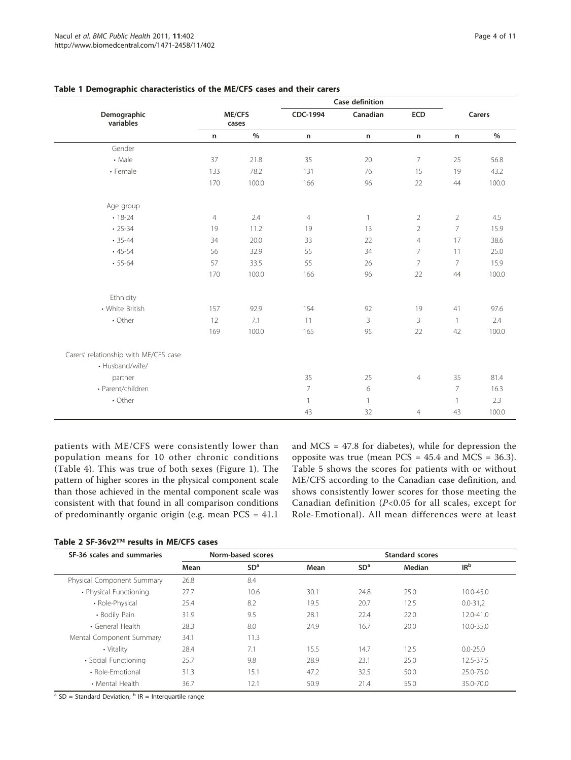|                                       |                 |       |                | Case definition |                |                |        |  |
|---------------------------------------|-----------------|-------|----------------|-----------------|----------------|----------------|--------|--|
| Demographic<br>variables              | ME/CFS<br>cases |       | CDC-1994       | Canadian        | ECD            |                | Carers |  |
|                                       | n               | $\%$  | n              | n               | $\sf n$        | n              | $\%$   |  |
| Gender                                |                 |       |                |                 |                |                |        |  |
| • Male                                | 37              | 21.8  | 35             | 20              | 7              | 25             | 56.8   |  |
| • Female                              | 133             | 78.2  | 131            | 76              | 15             | 19             | 43.2   |  |
|                                       | 170             | 100.0 | 166            | 96              | 22             | 44             | 100.0  |  |
| Age group                             |                 |       |                |                 |                |                |        |  |
| $• 18-24$                             | $\overline{4}$  | 2.4   | $\overline{4}$ | $\mathbf{1}$    | $\overline{2}$ | $\overline{2}$ | 4.5    |  |
| $\cdot$ 25-34                         | 19              | 11.2  | 19             | 13              | $\overline{2}$ | $\overline{7}$ | 15.9   |  |
| $• 35 - 44$                           | 34              | 20.0  | 33             | 22              | $\overline{4}$ | 17             | 38.6   |  |
| $.45 - 54$                            | 56              | 32.9  | 55             | 34              | $\overline{7}$ | 11             | 25.0   |  |
| $-55-64$                              | 57              | 33.5  | 55             | 26              | $\overline{7}$ | 7              | 15.9   |  |
|                                       | 170             | 100.0 | 166            | 96              | 22             | 44             | 100.0  |  |
| Ethnicity                             |                 |       |                |                 |                |                |        |  |
| • White British                       | 157             | 92.9  | 154            | 92              | 19             | 41             | 97.6   |  |
| • Other                               | 12              | 7.1   | 11             | 3               | 3              | $\mathbf{1}$   | 2.4    |  |
|                                       | 169             | 100.0 | 165            | 95              | 22             | 42             | 100.0  |  |
| Carers' relationship with ME/CFS case |                 |       |                |                 |                |                |        |  |
| • Husband/wife/                       |                 |       |                |                 |                |                |        |  |
| partner                               |                 |       | 35             | 25              | $\overline{4}$ | 35             | 81.4   |  |
| • Parent/children                     |                 |       | $\overline{7}$ | 6               |                | $\overline{7}$ | 16.3   |  |
| • Other                               |                 |       | $\mathbf{1}$   | 1               |                | $\mathbf{1}$   | 2.3    |  |
|                                       |                 |       | 43             | 32              | $\overline{4}$ | 43             | 100.0  |  |

## <span id="page-3-0"></span>Table 1 Demographic characteristics of the ME/CFS cases and their carers

patients with ME/CFS were consistently lower than population means for 10 other chronic conditions (Table [4\)](#page-4-0). This was true of both sexes (Figure [1\)](#page-5-0). The pattern of higher scores in the physical component scale than those achieved in the mental component scale was consistent with that found in all comparison conditions of predominantly organic origin (e.g. mean PCS = 41.1

and MCS = 47.8 for diabetes), while for depression the opposite was true (mean  $PCS = 45.4$  and  $MCS = 36.3$ ). Table [5](#page-6-0) shows the scores for patients with or without ME/CFS according to the Canadian case definition, and shows consistently lower scores for those meeting the Canadian definition ( $P<0.05$  for all scales, except for Role-Emotional). All mean differences were at least

Table 2 SF-36v2™ results in ME/CFS cases

| SF-36 scales and summaries |      | Norm-based scores |      |                 | <b>Standard scores</b> |                 |
|----------------------------|------|-------------------|------|-----------------|------------------------|-----------------|
|                            | Mean | SD <sup>a</sup>   | Mean | SD <sup>a</sup> | Median                 | IR <sup>b</sup> |
| Physical Component Summary | 26.8 | 8.4               |      |                 |                        |                 |
| • Physical Functioning     | 27.7 | 10.6              | 30.1 | 24.8            | 25.0                   | $10.0 - 45.0$   |
| • Role-Physical            | 25.4 | 8.2               | 19.5 | 20.7            | 12.5                   | $0.0 - 31.2$    |
| • Bodily Pain              | 31.9 | 9.5               | 28.1 | 22.4            | 22.0                   | $12.0 - 41.0$   |
| • General Health           | 28.3 | 8.0               | 24.9 | 16.7            | 20.0                   | 10.0-35.0       |
| Mental Component Summary   | 34.1 | 11.3              |      |                 |                        |                 |
| • Vitality                 | 28.4 | 7.1               | 15.5 | 14.7            | 12.5                   | $0.0 - 25.0$    |
| • Social Functioning       | 25.7 | 9.8               | 28.9 | 23.1            | 25.0                   | 12.5-37.5       |
| • Role-Emotional           | 31.3 | 15.1              | 47.2 | 32.5            | 50.0                   | $25.0 - 75.0$   |
| • Mental Health            | 36.7 | 12.1              | 50.9 | 21.4            | 55.0                   | 35.0-70.0       |

 $a$  SD = Standard Deviation;  $b$  IR = Interquartile range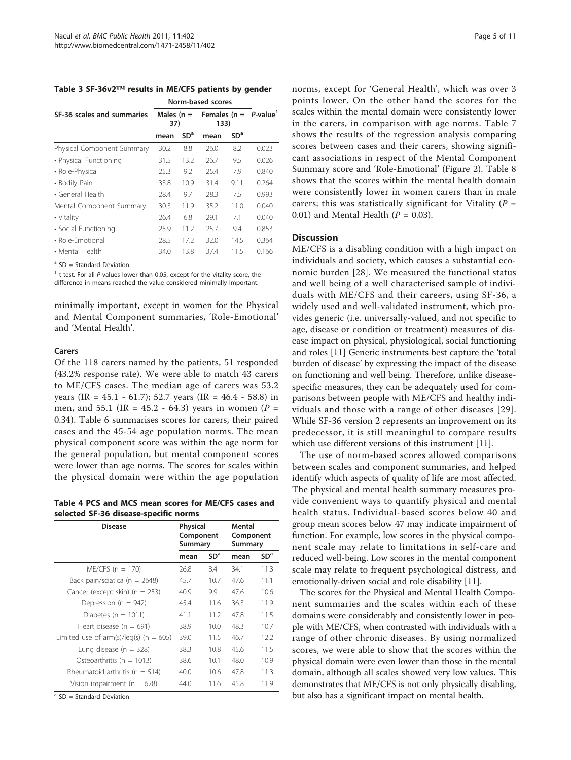<span id="page-4-0"></span>Table 3 SF-36v2™ results in ME/CFS patients by gender

|                            | Norm-based scores    |                 |      |                 |                          |
|----------------------------|----------------------|-----------------|------|-----------------|--------------------------|
| SF-36 scales and summaries | Males ( $n =$<br>37) |                 | 133) |                 | Females ( $n = P$ -value |
|                            | mean                 | SD <sup>a</sup> | mean | SD <sup>a</sup> |                          |
| Physical Component Summary | 30.2                 | 8.8             | 26.0 | 8.2             | 0.023                    |
| • Physical Functioning     | 31.5                 | 13.2            | 26.7 | 9.5             | 0.026                    |
| • Role-Physical            | 25.3                 | 9.2             | 25.4 | 7.9             | 0.840                    |
| • Bodily Pain              | 33.8                 | 10.9            | 31.4 | 9.11            | 0.264                    |
| • General Health           | 28.4                 | 9.7             | 28.3 | 7.5             | 0.993                    |
| Mental Component Summary   | 30.3                 | 11.9            | 35.2 | 11.0            | 0.040                    |
| • Vitality                 | 26.4                 | 6.8             | 29.1 | 71              | 0.040                    |
| • Social Functioning       | 25.9                 | 11.2            | 25.7 | 9.4             | 0.853                    |
| • Role-Emotional           | 28.5                 | 172             | 32.0 | 14.5            | 0.364                    |
| • Mental Health            | 34.0                 | 13.8            | 37.4 | 11.5            | 0.166                    |

 $a$  SD = Standard Deviation

 $1$  t-test. For all P-values lower than 0.05, except for the vitality score, the difference in means reached the value considered minimally important.

minimally important, except in women for the Physical and Mental Component summaries, 'Role-Emotional' and 'Mental Health'.

## Carers

Of the 118 carers named by the patients, 51 responded (43.2% response rate). We were able to match 43 carers to ME/CFS cases. The median age of carers was 53.2 years (IR =  $45.1 - 61.7$ ); 52.7 years (IR =  $46.4 - 58.8$ ) in men, and 55.1 (IR = 45.2 - 64.3) years in women ( $P =$ 0.34). Table [6](#page-6-0) summarises scores for carers, their paired cases and the 45-54 age population norms. The mean physical component score was within the age norm for the general population, but mental component scores were lower than age norms. The scores for scales within the physical domain were within the age population

Table 4 PCS and MCS mean scores for ME/CFS cases and selected SF-36 disease-specific norms

| <b>Disease</b>                             | <b>Physical</b><br>Component<br>Summary |                 | Mental<br>Component<br>Summary |                 |  |
|--------------------------------------------|-----------------------------------------|-----------------|--------------------------------|-----------------|--|
|                                            | mean                                    | SD <sup>a</sup> | mean                           | SD <sup>a</sup> |  |
| $ME/CFS$ (n = 170)                         | 26.8                                    | 8.4             | 34.1                           | 11.3            |  |
| Back pain/sciatica (n = 2648)              | 45.7                                    | 10.7            | 47.6                           | 11.1            |  |
| Cancer (except skin) ( $n = 253$ )         | 40.9                                    | 9.9             | 47.6                           | 10.6            |  |
| Depression (n = $942$ )                    | 45.4                                    | 11.6            | 36.3                           | 11.9            |  |
| Diabetes ( $n = 1011$ )                    | 41.1                                    | 11.2            | 47.8                           | 11.5            |  |
| Heart disease ( $n = 691$ )                | 38.9                                    | 10.0            | 48.3                           | 10.7            |  |
| Limited use of arm(s)/leg(s) ( $n = 605$ ) | 39.0                                    | 11.5            | 46.7                           | 12.2            |  |
| Lung disease ( $n = 328$ )                 | 38.3                                    | 10.8            | 45.6                           | 11.5            |  |
| Osteoarthritis ( $n = 1013$ )              | 38.6                                    | 10.1            | 48.0                           | 10.9            |  |
| Rheumatoid arthritis ( $n = 514$ )         | 40.0                                    | 10.6            | 47.8                           | 11.3            |  |
| Vision impairment ( $n = 628$ )            | 44.0                                    | 11.6            | 45.8                           | 11.9            |  |

 $a$  SD = Standard Deviation

norms, except for 'General Health', which was over 3 points lower. On the other hand the scores for the scales within the mental domain were consistently lower in the carers, in comparison with age norms. Table [7](#page-7-0) shows the results of the regression analysis comparing scores between cases and their carers, showing significant associations in respect of the Mental Component Summary score and 'Role-Emotional' (Figure [2\)](#page-8-0). Table [8](#page-9-0) shows that the scores within the mental health domain were consistently lower in women carers than in male carers; this was statistically significant for Vitality ( $P =$ 0.01) and Mental Health  $(P = 0.03)$ .

## **Discussion**

ME/CFS is a disabling condition with a high impact on individuals and society, which causes a substantial economic burden [[28](#page-10-0)]. We measured the functional status and well being of a well characterised sample of individuals with ME/CFS and their careers, using SF-36, a widely used and well-validated instrument, which provides generic (i.e. universally-valued, and not specific to age, disease or condition or treatment) measures of disease impact on physical, physiological, social functioning and roles [[11\]](#page-10-0) Generic instruments best capture the 'total burden of disease' by expressing the impact of the disease on functioning and well being. Therefore, unlike diseasespecific measures, they can be adequately used for comparisons between people with ME/CFS and healthy individuals and those with a range of other diseases [[29\]](#page-10-0). While SF-36 version 2 represents an improvement on its predecessor, it is still meaningful to compare results which use different versions of this instrument [[11](#page-10-0)].

The use of norm-based scores allowed comparisons between scales and component summaries, and helped identify which aspects of quality of life are most affected. The physical and mental health summary measures provide convenient ways to quantify physical and mental health status. Individual-based scores below 40 and group mean scores below 47 may indicate impairment of function. For example, low scores in the physical component scale may relate to limitations in self-care and reduced well-being. Low scores in the mental component scale may relate to frequent psychological distress, and emotionally-driven social and role disability [[11](#page-10-0)].

The scores for the Physical and Mental Health Component summaries and the scales within each of these domains were considerably and consistently lower in people with ME/CFS, when contrasted with individuals with a range of other chronic diseases. By using normalized scores, we were able to show that the scores within the physical domain were even lower than those in the mental domain, although all scales showed very low values. This demonstrates that ME/CFS is not only physically disabling, but also has a significant impact on mental health.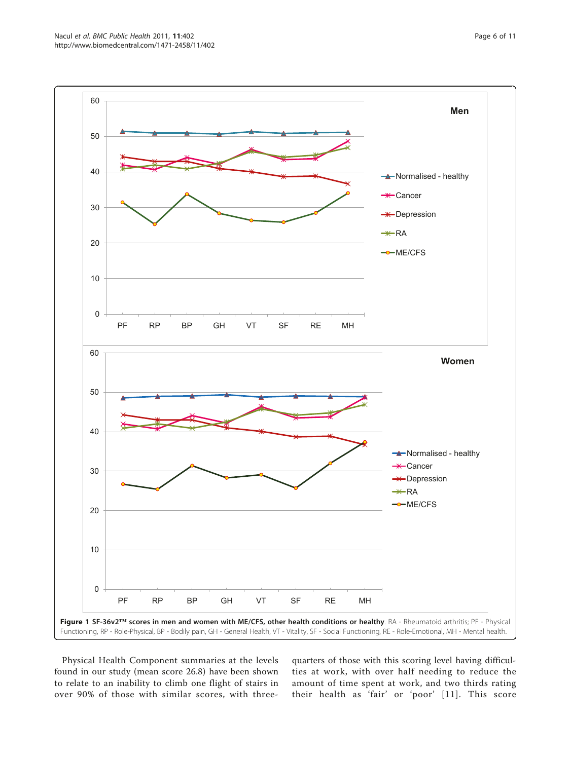<span id="page-5-0"></span>

Physical Health Component summaries at the levels found in our study (mean score 26.8) have been shown to relate to an inability to climb one flight of stairs in over 90% of those with similar scores, with threequarters of those with this scoring level having difficulties at work, with over half needing to reduce the amount of time spent at work, and two thirds rating their health as 'fair' or 'poor' [[11](#page-10-0)]. This score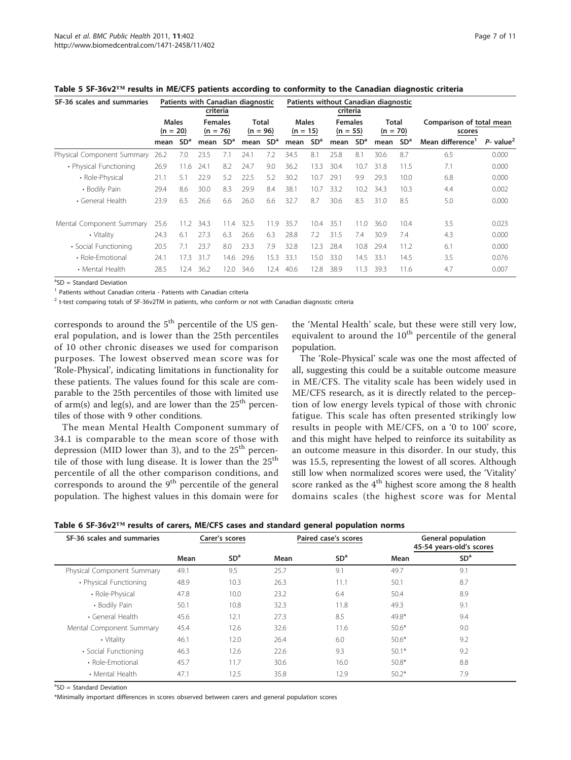| SF-36 scales and summaries |                                                            |                 | criteria            |                 | Patients with Canadian diagnostic |                 |                              |                 | Patients without Canadian diagnostic<br>criteria |                 |                                    |                 |                              |                         |
|----------------------------|------------------------------------------------------------|-----------------|---------------------|-----------------|-----------------------------------|-----------------|------------------------------|-----------------|--------------------------------------------------|-----------------|------------------------------------|-----------------|------------------------------|-------------------------|
|                            | <b>Males</b><br><b>Females</b><br>$(n = 20)$<br>$(n = 76)$ |                 | Total<br>$(n = 96)$ |                 | <b>Males</b><br>$(n = 15)$        |                 | <b>Females</b><br>$(n = 55)$ |                 | Total<br>$(n = 70)$                              |                 | Comparison of total mean<br>scores |                 |                              |                         |
|                            | mean                                                       | SD <sup>a</sup> | mean                | SD <sup>a</sup> | mean                              | SD <sup>a</sup> | mean                         | SD <sup>a</sup> | mean                                             | SD <sup>a</sup> | mean                               | SD <sup>a</sup> | Mean difference <sup>1</sup> | $P-$ value <sup>2</sup> |
| Physical Component Summary | 26.2                                                       | 7.0             | 23.5                | 7.1             | 24.1                              | 7.2             | 34.5                         | 8.1             | 25.8                                             | 8.1             | 30.6                               | 8.7             | 6.5                          | 0.000                   |
| • Physical Functioning     | 26.9                                                       | 11.6            | 24.1                | 8.2             | 24.7                              | 9.0             | 36.2                         | 13.3            | 30.4                                             | 10.7            | 31.8                               | 11.5            | 7.1                          | 0.000                   |
| • Role-Physical            | 21.1                                                       | 51              | 22.9                | 5.2             | 22.5                              | 5.2             | 30.2                         | 10.7            | 29.1                                             | 9.9             | 29.3                               | 10.0            | 6.8                          | 0.000                   |
| • Bodily Pain              | 29.4                                                       | 8.6             | 30.0                | 8.3             | 29.9                              | 8.4             | 38.1                         | 10.7            | 33.2                                             | 10.2            | 34.3                               | 10.3            | 4.4                          | 0.002                   |
| • General Health           | 23.9                                                       | 6.5             | 26.6                | 6.6             | 26.0                              | 6.6             | 32.7                         | 8.7             | 30.6                                             | 8.5             | 31.0                               | 8.5             | 5.0                          | 0.000                   |
| Mental Component Summary   | 25.6                                                       | 11.2            | 34.3                | 11.4            | 32.5                              | 11.9            | 35.7                         | 10.4            | 35.1                                             | 11.0            | 36.0                               | 10.4            | 3.5                          | 0.023                   |
| • Vitality                 | 24.3                                                       | 6.1             | 27.3                | 6.3             | 26.6                              | 6.3             | 28.8                         | 7.2             | 31.5                                             | 7.4             | 30.9                               | 7.4             | 4.3                          | 0.000                   |
| • Social Functioning       | 20.5                                                       | 7.1             | 23.7                | 8.0             | 23.3                              | 7.9             | 32.8                         | 12.3            | 28.4                                             | 10.8            | 29.4                               | 11.2            | 6.1                          | 0.000                   |
| • Role-Emotional           | 24.1                                                       | 17.3            | 31.7                | 14.6            | 29.6                              | 15.3            | 33.1                         | 15.0            | 33.0                                             | 14.5            | 33.1                               | 14.5            | 3.5                          | 0.076                   |
| • Mental Health            | 28.5                                                       | 12.4            | 36.2                | 12.0            | 34.6                              | 12.4            | 40.6                         | 12.8            | 38.9                                             | 11.3            | 39.3                               | 11.6            | 4.7                          | 0.007                   |

<span id="page-6-0"></span>Table 5 SF-36v2™ results in ME/CFS patients according to conformity to the Canadian diagnostic criteria

<sup>a</sup>SD = Standard Deviation

<sup>1</sup> Patients without Canadian criteria - Patients with Canadian criteria

<sup>2</sup> t-test comparing totals of SF-36v2TM in patients, who conform or not with Canadian diagnostic criteria

corresponds to around the  $5<sup>th</sup>$  percentile of the US general population, and is lower than the 25th percentiles of 10 other chronic diseases we used for comparison purposes. The lowest observed mean score was for 'Role-Physical', indicating limitations in functionality for these patients. The values found for this scale are comparable to the 25th percentiles of those with limited use of arm(s) and leg(s), and are lower than the  $25<sup>th</sup>$  percentiles of those with 9 other conditions.

The mean Mental Health Component summary of 34.1 is comparable to the mean score of those with depression (MID lower than 3), and to the  $25<sup>th</sup>$  percentile of those with lung disease. It is lower than the  $25<sup>th</sup>$ percentile of all the other comparison conditions, and corresponds to around the 9<sup>th</sup> percentile of the general population. The highest values in this domain were for the 'Mental Health' scale, but these were still very low, equivalent to around the  $10<sup>th</sup>$  percentile of the general population.

The 'Role-Physical' scale was one the most affected of all, suggesting this could be a suitable outcome measure in ME/CFS. The vitality scale has been widely used in ME/CFS research, as it is directly related to the perception of low energy levels typical of those with chronic fatigue. This scale has often presented strikingly low results in people with ME/CFS, on a '0 to 100' score, and this might have helped to reinforce its suitability as an outcome measure in this disorder. In our study, this was 15.5, representing the lowest of all scores. Although still low when normalized scores were used, the 'Vitality' score ranked as the  $4<sup>th</sup>$  highest score among the 8 health domains scales (the highest score was for Mental

Table 6 SF-36v2™ results of carers, ME/CFS cases and standard general population norms

| SF-36 scales and summaries | Carer's scores |                 |      | Paired case's scores | <b>General population</b><br>45-54 years-old's scores |                 |  |  |
|----------------------------|----------------|-----------------|------|----------------------|-------------------------------------------------------|-----------------|--|--|
|                            | Mean           | SD <sup>a</sup> | Mean | SD <sup>a</sup>      | Mean                                                  | SD <sup>a</sup> |  |  |
| Physical Component Summary | 49.1           | 9.5             | 25.7 | 9.1                  | 49.7                                                  | 9.1             |  |  |
| • Physical Functioning     | 48.9           | 10.3            | 26.3 | 11.1                 | 50.1                                                  | 8.7             |  |  |
| • Role-Physical            | 47.8           | 10.0            | 23.2 | 6.4                  | 50.4                                                  | 8.9             |  |  |
| • Bodily Pain              | 50.1           | 10.8            | 32.3 | 11.8                 | 49.3                                                  | 9.1             |  |  |
| • General Health           | 45.6           | 12.1            | 27.3 | 8.5                  | $49.8*$                                               | 9.4             |  |  |
| Mental Component Summary   | 45.4           | 12.6            | 32.6 | 11.6                 | $50.6*$                                               | 9.0             |  |  |
| • Vitality                 | 46.1           | 12.0            | 26.4 | 6.0                  | $50.6*$                                               | 9.2             |  |  |
| • Social Functioning       | 46.3           | 12.6            | 22.6 | 9.3                  | $50.1*$                                               | 9.2             |  |  |
| • Role-Emotional           | 45.7           | 11.7            | 30.6 | 16.0                 | $50.8*$                                               | 8.8             |  |  |
| • Mental Health            | 47.1           | 12.5            | 35.8 | 12.9                 | $50.2*$                                               | 7.9             |  |  |
|                            |                |                 |      |                      |                                                       |                 |  |  |

<sup>a</sup>SD = Standard Deviation

\*Minimally important differences in scores observed between carers and general population scores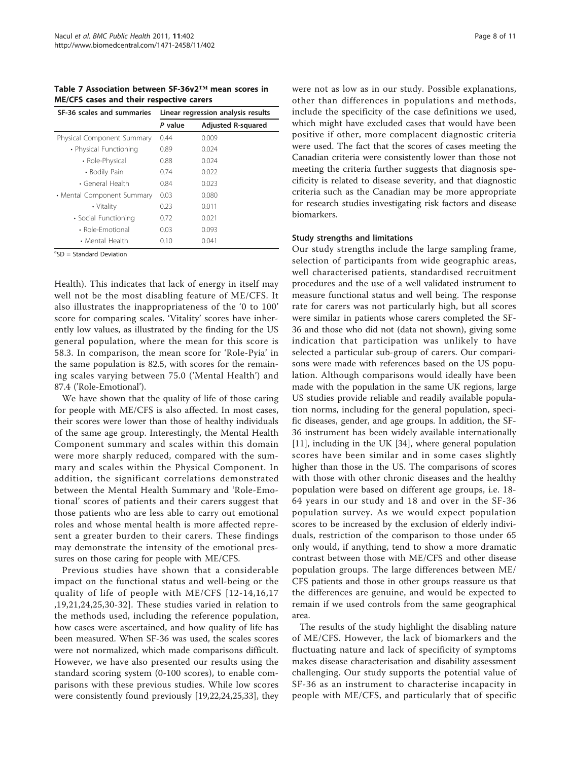<span id="page-7-0"></span>Table 7 Association between SF-36v2™ mean scores in ME/CFS cases and their respective carers

| SF-36 scales and summaries | Linear regression analysis results |                           |  |  |  |  |
|----------------------------|------------------------------------|---------------------------|--|--|--|--|
|                            | P value                            | <b>Adjusted R-squared</b> |  |  |  |  |
| Physical Component Summary | 0.44                               | 0.009                     |  |  |  |  |
| • Physical Functioning     | 0.89                               | 0.024                     |  |  |  |  |
| • Role-Physical            | 0.88                               | 0.024                     |  |  |  |  |
| • Bodily Pain              | 0.74                               | 0.022                     |  |  |  |  |
| • General Health           | 0.84                               | 0.023                     |  |  |  |  |
| • Mental Component Summary | 0.03                               | 0.080                     |  |  |  |  |
| • Vitality                 | 0.23                               | 0.011                     |  |  |  |  |
| • Social Functioning       | 0.72                               | 0.021                     |  |  |  |  |
| • Role-Emotional           | 0.03                               | 0.093                     |  |  |  |  |
| • Mental Health            | 0.10                               | 0.041                     |  |  |  |  |

<sup>a</sup>SD = Standard Deviation

Health). This indicates that lack of energy in itself may well not be the most disabling feature of ME/CFS. It also illustrates the inappropriateness of the '0 to 100' score for comparing scales. 'Vitality' scores have inherently low values, as illustrated by the finding for the US general population, where the mean for this score is 58.3. In comparison, the mean score for 'Role-Pyia' in the same population is 82.5, with scores for the remaining scales varying between 75.0 ('Mental Health') and 87.4 ('Role-Emotional').

We have shown that the quality of life of those caring for people with ME/CFS is also affected. In most cases, their scores were lower than those of healthy individuals of the same age group. Interestingly, the Mental Health Component summary and scales within this domain were more sharply reduced, compared with the summary and scales within the Physical Component. In addition, the significant correlations demonstrated between the Mental Health Summary and 'Role-Emotional' scores of patients and their carers suggest that those patients who are less able to carry out emotional roles and whose mental health is more affected represent a greater burden to their carers. These findings may demonstrate the intensity of the emotional pressures on those caring for people with ME/CFS.

Previous studies have shown that a considerable impact on the functional status and well-being or the quality of life of people with ME/CFS [[12-14](#page-10-0),[16,17](#page-10-0) ,[19](#page-10-0),[21,24](#page-10-0),[25,30](#page-10-0)-[32](#page-10-0)]. These studies varied in relation to the methods used, including the reference population, how cases were ascertained, and how quality of life has been measured. When SF-36 was used, the scales scores were not normalized, which made comparisons difficult. However, we have also presented our results using the standard scoring system (0-100 scores), to enable comparisons with these previous studies. While low scores were consistently found previously [[19](#page-10-0),[22](#page-10-0),[24](#page-10-0),[25,33\]](#page-10-0), they were not as low as in our study. Possible explanations, other than differences in populations and methods, include the specificity of the case definitions we used, which might have excluded cases that would have been positive if other, more complacent diagnostic criteria were used. The fact that the scores of cases meeting the Canadian criteria were consistently lower than those not meeting the criteria further suggests that diagnosis specificity is related to disease severity, and that diagnostic criteria such as the Canadian may be more appropriate for research studies investigating risk factors and disease biomarkers.

#### Study strengths and limitations

Our study strengths include the large sampling frame, selection of participants from wide geographic areas, well characterised patients, standardised recruitment procedures and the use of a well validated instrument to measure functional status and well being. The response rate for carers was not particularly high, but all scores were similar in patients whose carers completed the SF-36 and those who did not (data not shown), giving some indication that participation was unlikely to have selected a particular sub-group of carers. Our comparisons were made with references based on the US population. Although comparisons would ideally have been made with the population in the same UK regions, large US studies provide reliable and readily available population norms, including for the general population, specific diseases, gender, and age groups. In addition, the SF-36 instrument has been widely available internationally [[11\]](#page-10-0), including in the UK [\[34](#page-10-0)], where general population scores have been similar and in some cases slightly higher than those in the US. The comparisons of scores with those with other chronic diseases and the healthy population were based on different age groups, i.e. 18- 64 years in our study and 18 and over in the SF-36 population survey. As we would expect population scores to be increased by the exclusion of elderly individuals, restriction of the comparison to those under 65 only would, if anything, tend to show a more dramatic contrast between those with ME/CFS and other disease population groups. The large differences between ME/ CFS patients and those in other groups reassure us that the differences are genuine, and would be expected to remain if we used controls from the same geographical area.

The results of the study highlight the disabling nature of ME/CFS. However, the lack of biomarkers and the fluctuating nature and lack of specificity of symptoms makes disease characterisation and disability assessment challenging. Our study supports the potential value of SF-36 as an instrument to characterise incapacity in people with ME/CFS, and particularly that of specific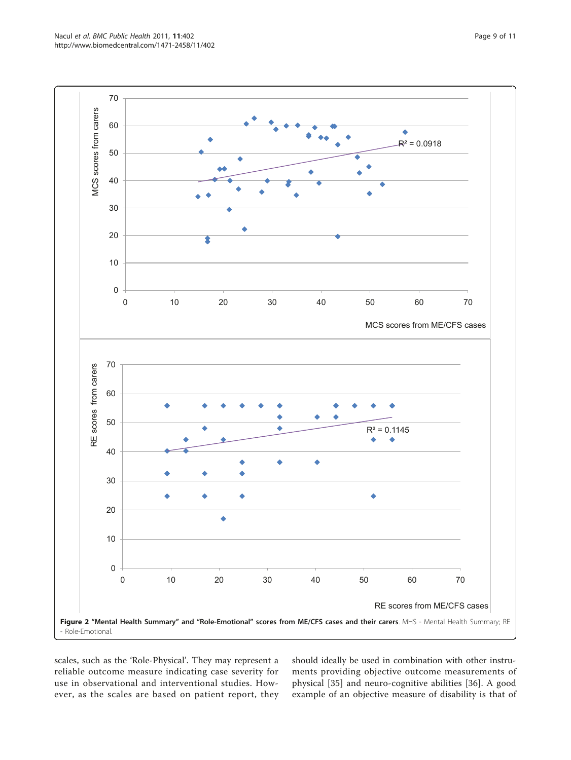<span id="page-8-0"></span>Nacul et al. BMC Public Health 2011, 11:402 http://www.biomedcentral.com/1471-2458/11/402



scales, such as the 'Role-Physical'. They may represent a reliable outcome measure indicating case severity for use in observational and interventional studies. However, as the scales are based on patient report, they should ideally be used in combination with other instruments providing objective outcome measurements of physical [[35\]](#page-10-0) and neuro-cognitive abilities [[36\]](#page-10-0). A good example of an objective measure of disability is that of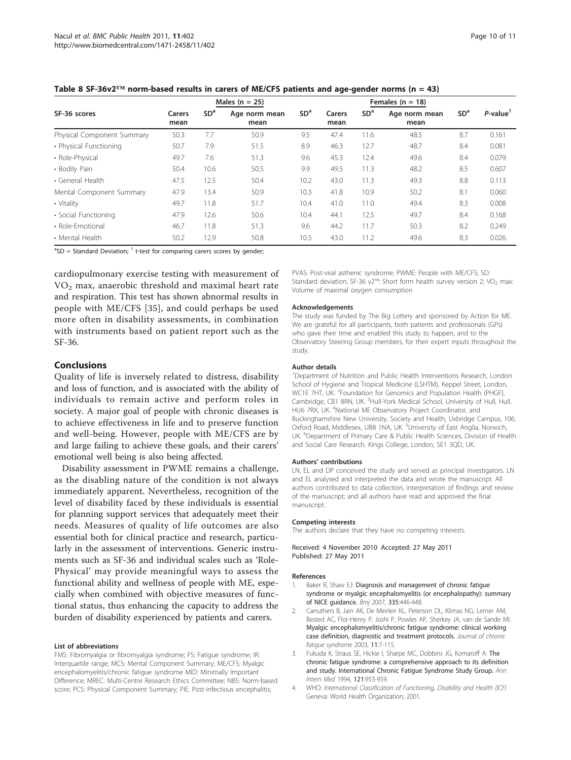|                            |                | Males $(n = 25)$ |                       | Females ( $n = 18$ ) |                |                 |                       |                 |            |
|----------------------------|----------------|------------------|-----------------------|----------------------|----------------|-----------------|-----------------------|-----------------|------------|
| SF-36 scores               | Carers<br>mean | SD <sup>a</sup>  | Age norm mean<br>mean | SD <sup>a</sup>      | Carers<br>mean | SD <sup>a</sup> | Age norm mean<br>mean | SD <sup>a</sup> | $P$ -value |
| Physical Component Summary | 50.3           | 7.7              | 50.9                  | 9.5                  | 47.4           | 11.6            | 48.5                  | 8.7             | 0.161      |
| • Physical Functioning     | 50.7           | 7.9              | 51.5                  | 8.9                  | 46.3           | 12.7            | 48.7                  | 8.4             | 0.081      |
| • Role-Physical            | 49.7           | 7.6              | 51.3                  | 9.6                  | 45.3           | 12.4            | 49.6                  | 8.4             | 0.079      |
| • Bodily Pain              | 50.4           | 10.6             | 50.5                  | 9.9                  | 49.5           | 11.3            | 48.2                  | 8.5             | 0.607      |
| • General Health           | 47.5           | 12.5             | 50.4                  | 10.2                 | 43.0           | 11.3            | 49.3                  | 8.8             | 0.113      |
| Mental Component Summary   | 47.9           | 13.4             | 50.9                  | 10.3                 | 41.8           | 10.9            | 50.2                  | 8.1             | 0.060      |
| • Vitality                 | 49.7           | 11.8             | 51.7                  | 10.4                 | 41.0           | 11.0            | 49.4                  | 8.3             | 0.008      |
| • Social Functioning       | 47.9           | 12.6             | 50.6                  | 10.4                 | 44.1           | 12.5            | 49.7                  | 8.4             | 0.168      |
| • Role-Emotional           | 46.7           | 11.8             | 51.3                  | 9.6                  | 44.2           | 11.7            | 50.3                  | 8.2             | 0.249      |
| • Mental Health            | 50.2           | 12.9             | 50.8                  | 10.5                 | 43.0           | 11.2            | 49.6                  | 8.3             | 0.026      |

<span id="page-9-0"></span>

 ${}^{a}SD =$  Standard Deviation;  ${}^{1}$  t-test for comparing carers scores by gender;

cardiopulmonary exercise testing with measurement of  $VO<sub>2</sub>$  max, anaerobic threshold and maximal heart rate and respiration. This test has shown abnormal results in people with ME/CFS [[35\]](#page-10-0), and could perhaps be used more often in disability assessments, in combination with instruments based on patient report such as the SF-36.

## **Conclusions**

Quality of life is inversely related to distress, disability and loss of function, and is associated with the ability of individuals to remain active and perform roles in society. A major goal of people with chronic diseases is to achieve effectiveness in life and to preserve function and well-being. However, people with ME/CFS are by and large failing to achieve these goals, and their carers' emotional well being is also being affected.

Disability assessment in PWME remains a challenge, as the disabling nature of the condition is not always immediately apparent. Nevertheless, recognition of the level of disability faced by these individuals is essential for planning support services that adequately meet their needs. Measures of quality of life outcomes are also essential both for clinical practice and research, particularly in the assessment of interventions. Generic instruments such as SF-36 and individual scales such as 'Role-Physical' may provide meaningful ways to assess the functional ability and wellness of people with ME, especially when combined with objective measures of functional status, thus enhancing the capacity to address the burden of disability experienced by patients and carers.

#### List of abbreviations

FMS: Fibromyalgia or fibromyalgia syndrome; FS: Fatigue syndrome; IR: Interquartile range; MCS: Mental Component Summary; ME/CFS: Myalgic encephalomyelitis/chronic fatigue syndrome MID: Minimally Important Difference; MREC: Multi-Centre Research Ethics Committee; NBS: Norm-based score; PCS: Physical Component Summary; PIE: Post-infectious encephalitis;

PVAS: Post-viral asthenic syndrome; PWME: People with ME/CFS; SD: Standard deviation; SF-36 v2<sup>™</sup>: Short form health survey version 2; VO<sub>2</sub> max: Volume of maximal oxygen consumption

#### Acknowledgements

The study was funded by The Big Lottery and sponsored by Action for ME. We are grateful for all participants, both patients and professionals (GPs) who gave their time and enabled this study to happen, and to the Observatory Steering Group members, for their expert inputs throughout the study.

#### Author details

<sup>1</sup>Department of Nutrition and Public Health Interventions Research, London School of Hygiene and Tropical Medicine (LSHTM), Keppel Street, London, WC1E 7HT, UK. <sup>2</sup>Foundation for Genomics and Population Health (PHGF), Cambridge, CB1 8RN, UK. <sup>3</sup>Hull-York Medical School, University of Hull, Hull, HU6 7RX, UK. <sup>4</sup>National ME Observatory Project Coordinator, and Buckinghamshire New University, Society and Health, Uxbridge Campus, 106, Oxford Road, Middlesex, UB8 1NA, UK. <sup>5</sup>University of East Anglia, Norwich UK. <sup>6</sup>Department of Primary Care & Public Health Sciences, Division of Health and Social Care Research. Kings College, London, SE1 3QD, UK.

#### Authors' contributions

LN, EL and DP conceived the study and served as principal investigators. LN and EL analysed and interpreted the data and wrote the manuscript. All authors contributed to data collection, interpretation of findings and review of the manuscript; and all authors have read and approved the final manuscript.

#### Competing interests

The authors declare that they have no competing interests.

Received: 4 November 2010 Accepted: 27 May 2011 Published: 27 May 2011

#### References

- Baker R, Shaw EJ: [Diagnosis and management of chronic fatigue](http://www.ncbi.nlm.nih.gov/pubmed/17762037?dopt=Abstract) [syndrome or myalgic encephalomyelitis \(or encephalopathy\): summary](http://www.ncbi.nlm.nih.gov/pubmed/17762037?dopt=Abstract) [of NICE guidance.](http://www.ncbi.nlm.nih.gov/pubmed/17762037?dopt=Abstract) Bmj 2007, 335:446-448.
- 2. Carruthers B, Jain AK, De Meirleir KL, Peterson DL, Klimas NG, Lerner AM, Bested AC, Flor-Henry P, Joshi P, Powles AP, Sherkey JA, van de Sande MI: Myalgic encephalomyelitis/chronic fatigue syndrome: clinical working case definition, diagnostic and treatment protocols. Journal of chronic fatigue syndrome 2003, 11:7-115.
- Fukuda K, Straus SE, Hickie I, Sharpe MC, Dobbins JG, Komaroff A: [The](http://www.ncbi.nlm.nih.gov/pubmed/7978722?dopt=Abstract) [chronic fatigue syndrome: a comprehensive approach to its definition](http://www.ncbi.nlm.nih.gov/pubmed/7978722?dopt=Abstract) [and study. International Chronic Fatigue Syndrome Study Group.](http://www.ncbi.nlm.nih.gov/pubmed/7978722?dopt=Abstract) Ann Intern Med 1994, 121:953-959.
- 4. WHO: International Classification of Functioning, Disability and Health (ICF) Geneva: World Health Organization; 2001.